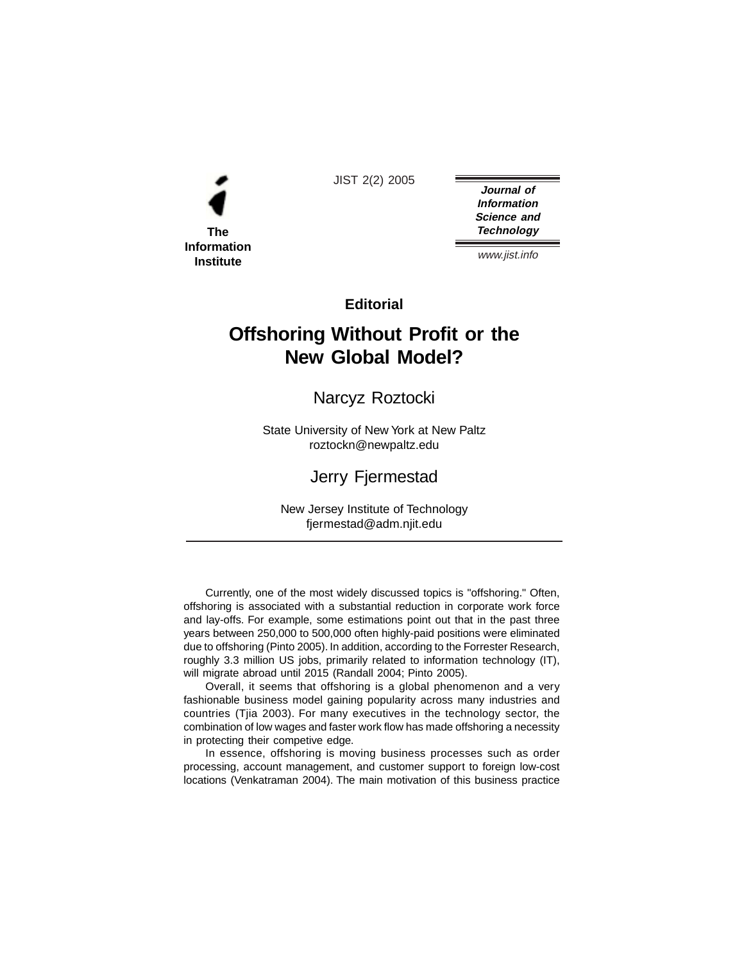

JIST 2(2) 2005

**Journal of Information Science and Technology**

www.jist.info

**Editorial**

## **Offshoring Without Profit or the New Global Model?**

Narcyz Roztocki

State University of New York at New Paltz roztockn@newpaltz.edu

## Jerry Fjermestad

New Jersey Institute of Technology fjermestad@adm.njit.edu

Currently, one of the most widely discussed topics is "offshoring." Often, offshoring is associated with a substantial reduction in corporate work force and lay-offs. For example, some estimations point out that in the past three years between 250,000 to 500,000 often highly-paid positions were eliminated due to offshoring (Pinto 2005). In addition, according to the Forrester Research, roughly 3.3 million US jobs, primarily related to information technology (IT), will migrate abroad until 2015 (Randall 2004; Pinto 2005).

Overall, it seems that offshoring is a global phenomenon and a very fashionable business model gaining popularity across many industries and countries (Tjia 2003). For many executives in the technology sector, the combination of low wages and faster work flow has made offshoring a necessity in protecting their competive edge.

In essence, offshoring is moving business processes such as order processing, account management, and customer support to foreign low-cost locations (Venkatraman 2004). The main motivation of this business practice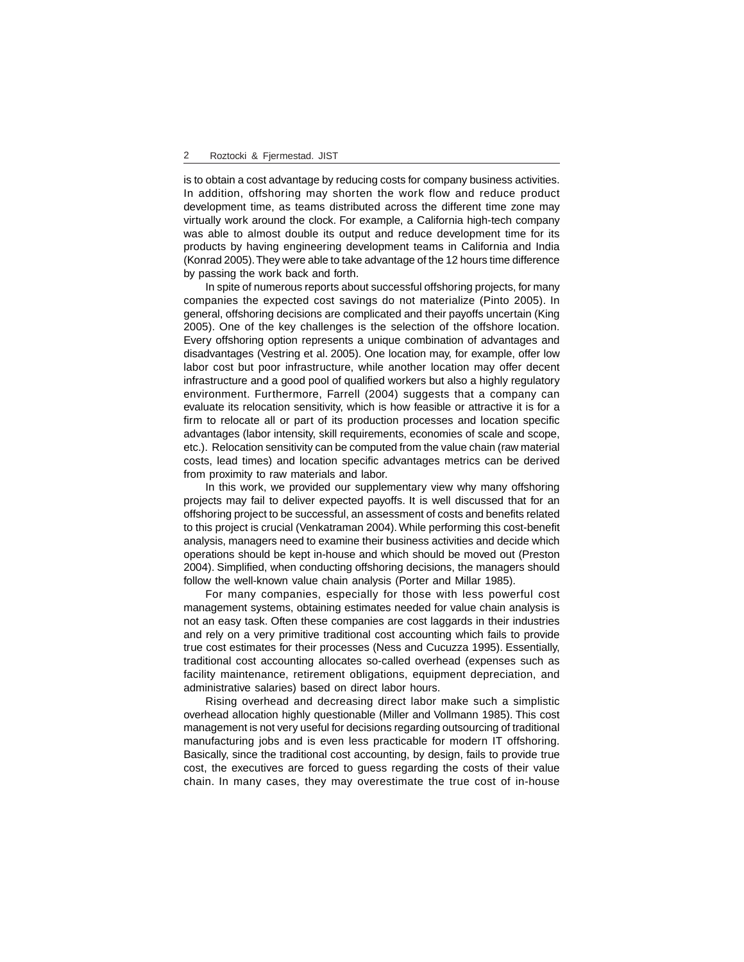is to obtain a cost advantage by reducing costs for company business activities. In addition, offshoring may shorten the work flow and reduce product development time, as teams distributed across the different time zone may virtually work around the clock. For example, a California high-tech company was able to almost double its output and reduce development time for its products by having engineering development teams in California and India (Konrad 2005). They were able to take advantage of the 12 hours time difference by passing the work back and forth.

In spite of numerous reports about successful offshoring projects, for many companies the expected cost savings do not materialize (Pinto 2005). In general, offshoring decisions are complicated and their payoffs uncertain (King 2005). One of the key challenges is the selection of the offshore location. Every offshoring option represents a unique combination of advantages and disadvantages (Vestring et al. 2005). One location may, for example, offer low labor cost but poor infrastructure, while another location may offer decent infrastructure and a good pool of qualified workers but also a highly regulatory environment. Furthermore, Farrell (2004) suggests that a company can evaluate its relocation sensitivity, which is how feasible or attractive it is for a firm to relocate all or part of its production processes and location specific advantages (labor intensity, skill requirements, economies of scale and scope, etc.). Relocation sensitivity can be computed from the value chain (raw material costs, lead times) and location specific advantages metrics can be derived from proximity to raw materials and labor.

In this work, we provided our supplementary view why many offshoring projects may fail to deliver expected payoffs. It is well discussed that for an offshoring project to be successful, an assessment of costs and benefits related to this project is crucial (Venkatraman 2004). While performing this cost-benefit analysis, managers need to examine their business activities and decide which operations should be kept in-house and which should be moved out (Preston 2004). Simplified, when conducting offshoring decisions, the managers should follow the well-known value chain analysis (Porter and Millar 1985).

For many companies, especially for those with less powerful cost management systems, obtaining estimates needed for value chain analysis is not an easy task. Often these companies are cost laggards in their industries and rely on a very primitive traditional cost accounting which fails to provide true cost estimates for their processes (Ness and Cucuzza 1995). Essentially, traditional cost accounting allocates so-called overhead (expenses such as facility maintenance, retirement obligations, equipment depreciation, and administrative salaries) based on direct labor hours.

Rising overhead and decreasing direct labor make such a simplistic overhead allocation highly questionable (Miller and Vollmann 1985). This cost management is not very useful for decisions regarding outsourcing of traditional manufacturing jobs and is even less practicable for modern IT offshoring. Basically, since the traditional cost accounting, by design, fails to provide true cost, the executives are forced to guess regarding the costs of their value chain. In many cases, they may overestimate the true cost of in-house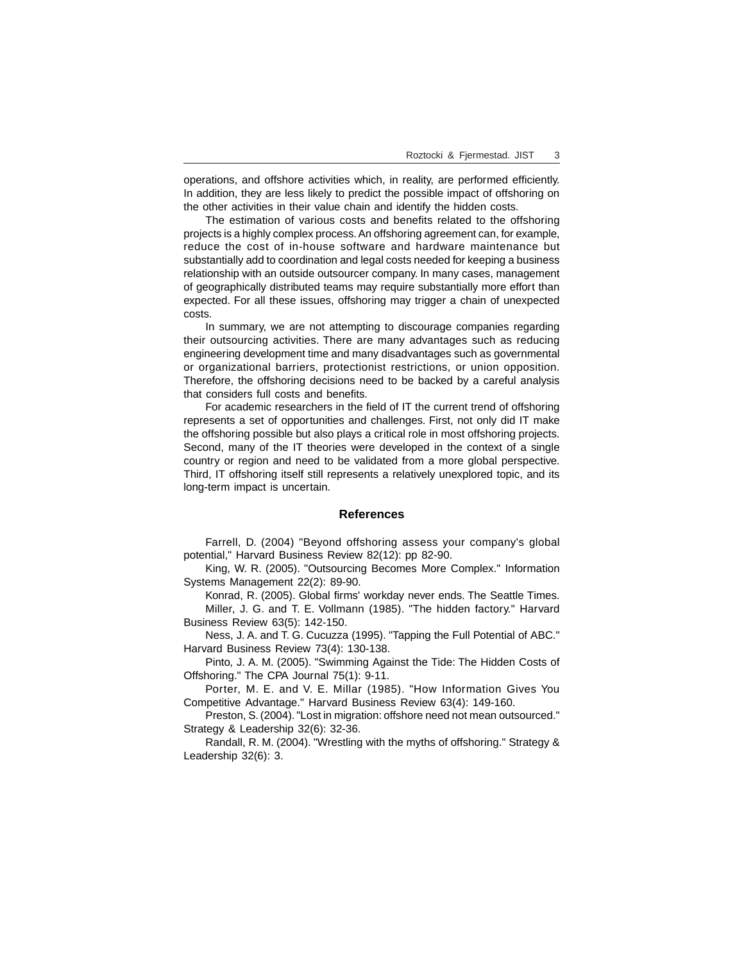operations, and offshore activities which, in reality, are performed efficiently. In addition, they are less likely to predict the possible impact of offshoring on the other activities in their value chain and identify the hidden costs.

The estimation of various costs and benefits related to the offshoring projects is a highly complex process. An offshoring agreement can, for example, reduce the cost of in-house software and hardware maintenance but substantially add to coordination and legal costs needed for keeping a business relationship with an outside outsourcer company. In many cases, management of geographically distributed teams may require substantially more effort than expected. For all these issues, offshoring may trigger a chain of unexpected costs.

In summary, we are not attempting to discourage companies regarding their outsourcing activities. There are many advantages such as reducing engineering development time and many disadvantages such as governmental or organizational barriers, protectionist restrictions, or union opposition. Therefore, the offshoring decisions need to be backed by a careful analysis that considers full costs and benefits.

For academic researchers in the field of IT the current trend of offshoring represents a set of opportunities and challenges. First, not only did IT make the offshoring possible but also plays a critical role in most offshoring projects. Second, many of the IT theories were developed in the context of a single country or region and need to be validated from a more global perspective. Third, IT offshoring itself still represents a relatively unexplored topic, and its long-term impact is uncertain.

## **References**

Farrell, D. (2004) "Beyond offshoring assess your company's global potential," Harvard Business Review 82(12): pp 82-90.

King, W. R. (2005). "Outsourcing Becomes More Complex." Information Systems Management 22(2): 89-90.

Konrad, R. (2005). Global firms' workday never ends. The Seattle Times. Miller, J. G. and T. E. Vollmann (1985). "The hidden factory." Harvard Business Review 63(5): 142-150.

Ness, J. A. and T. G. Cucuzza (1995). "Tapping the Full Potential of ABC." Harvard Business Review 73(4): 130-138.

Pinto, J. A. M. (2005). "Swimming Against the Tide: The Hidden Costs of Offshoring." The CPA Journal 75(1): 9-11.

Porter, M. E. and V. E. Millar (1985). "How Information Gives You Competitive Advantage." Harvard Business Review 63(4): 149-160.

Preston, S. (2004). "Lost in migration: offshore need not mean outsourced." Strategy & Leadership 32(6): 32-36.

Randall, R. M. (2004). "Wrestling with the myths of offshoring." Strategy & Leadership 32(6): 3.